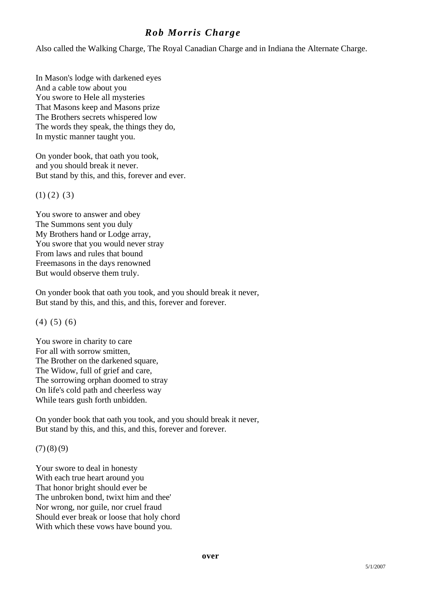## *Rob Morris Charge*

Also called the Walking Charge, The Royal Canadian Charge and in Indiana the Alternate Charge.

In Mason's lodge with darkened eyes And a cable tow about you You swore to Hele all mysteries That Masons keep and Masons prize The Brothers secrets whispered low The words they speak, the things they do, In mystic manner taught you.

On yonder book, that oath you took, and you should break it never. But stand by this, and this, forever and ever.

 $(1)$   $(2)$   $(3)$ 

You swore to answer and obey The Summons sent you duly My Brothers hand or Lodge array, You swore that you would never stray From laws and rules that bound Freemasons in the days renowned But would observe them truly.

On yonder book that oath you took, and you should break it never, But stand by this, and this, and this, forever and forever.

(4) (5) (6)

You swore in charity to care For all with sorrow smitten, The Brother on the darkened square. The Widow, full of grief and care, The sorrowing orphan doomed to stray On life's cold path and cheerless way While tears gush forth unbidden.

On yonder book that oath you took, and you should break it never, But stand by this, and this, and this, forever and forever.

 $(7)(8)(9)$ 

Your swore to deal in honesty With each true heart around you That honor bright should ever be The unbroken bond, twixt him and thee' Nor wrong, nor guile, nor cruel fraud Should ever break or loose that holy chord With which these vows have bound you.